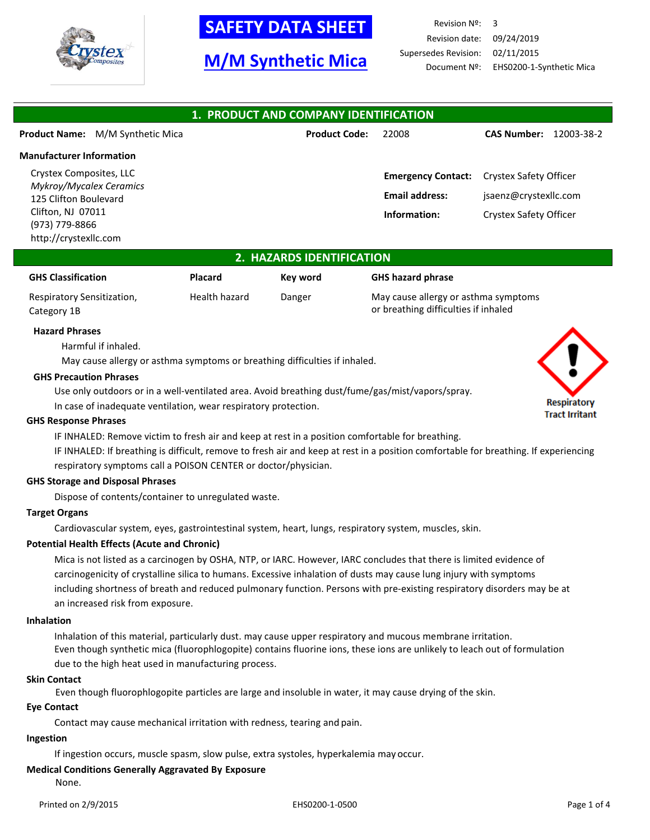

# **-SAFETY DATA SHEET-**

# **M/M Synthetic Mica**

Revision Nº: 3 Revision date: 09/24/2019 Supersedes Revision: 02/11/2015 Document Nº: EHS0200-1-Synthetic Mica

| 1. PRODUCT AND COMPANY IDENTIFICATION                                                                                                              |                                         |                      |                                                                    |                                                                           |            |
|----------------------------------------------------------------------------------------------------------------------------------------------------|-----------------------------------------|----------------------|--------------------------------------------------------------------|---------------------------------------------------------------------------|------------|
|                                                                                                                                                    | <b>Product Name:</b> M/M Synthetic Mica | <b>Product Code:</b> | 22008                                                              | <b>CAS Number:</b>                                                        | 12003-38-2 |
| <b>Manufacturer Information</b>                                                                                                                    |                                         |                      |                                                                    |                                                                           |            |
| Crystex Composites, LLC<br><b>Mykroy/Mycalex Ceramics</b><br>125 Clifton Boulevard<br>Clifton, NJ 07011<br>(973) 779-8866<br>http://crystexllc.com |                                         |                      | <b>Emergency Contact:</b><br><b>Email address:</b><br>Information: | Crystex Safety Officer<br>jsaenz@crystexllc.com<br>Crystex Safety Officer |            |

### **2. HAZARDS IDENTIFICATION**

| <b>GHS Classification</b>  | Placard       | Key word | <b>GHS hazard phrase</b> |
|----------------------------|---------------|----------|--------------------------|
| Respiratory Sensitization, | Health hazard | Danger   | May cause allergy o      |
| Category 1B                |               |          | or breathing difficul    |

cause allergy or asthma symptoms or breathing difficulties if inhaled

### **Hazard Phrases**

Harmful if inhaled.

May cause allergy or asthma symptoms or breathing difficulties if inhaled.

#### **GHS Precaution Phrases**

Use only outdoors or in a well-ventilated area. Avoid breathing dust/fume/gas/mist/vapors/spray.

In case of inadequate ventilation, wear respiratory protection.

### **GHS Response Phrases**

IF INHALED: Remove victim to fresh air and keep at rest in a position comfortable for breathing.

IF INHALED: If breathing is difficult, remove to fresh air and keep at rest in a position comfortable for breathing. If experiencing respiratory symptoms call a POISON CENTER or doctor/physician.

### **GHS Storage and Disposal Phrases**

Dispose of contents/container to unregulated waste.

### **Target Organs**

Cardiovascular system, eyes, gastrointestinal system, heart, lungs, respiratory system, muscles, skin.

### **Potential Health Effects (Acute and Chronic)**

Mica is not listed as a carcinogen by OSHA, NTP, or IARC. However, IARC concludes that there is limited evidence of carcinogenicity of crystalline silica to humans. Excessive inhalation of dusts may cause lung injury with symptoms including shortness of breath and reduced pulmonary function. Persons with pre-existing respiratory disorders may be at an increased risk from exposure.

#### **Inhalation**

Inhalation of this material, particularly dust. may cause upper respiratory and mucous membrane irritation. Even though synthetic mica (fluorophlogopite) contains fluorine ions, these ions are unlikely to leach out of formulation due to the high heat used in manufacturing process.

### **Skin Contact**

Even though fluorophlogopite particles are large and insoluble in water, it may cause drying of the skin.

### **Eye Contact**

Contact may cause mechanical irritation with redness, tearing and pain.

### **Ingestion**

If ingestion occurs, muscle spasm, slow pulse, extra systoles, hyperkalemia may occur.

## **Medical Conditions Generally Aggravated By Exposure**

None.

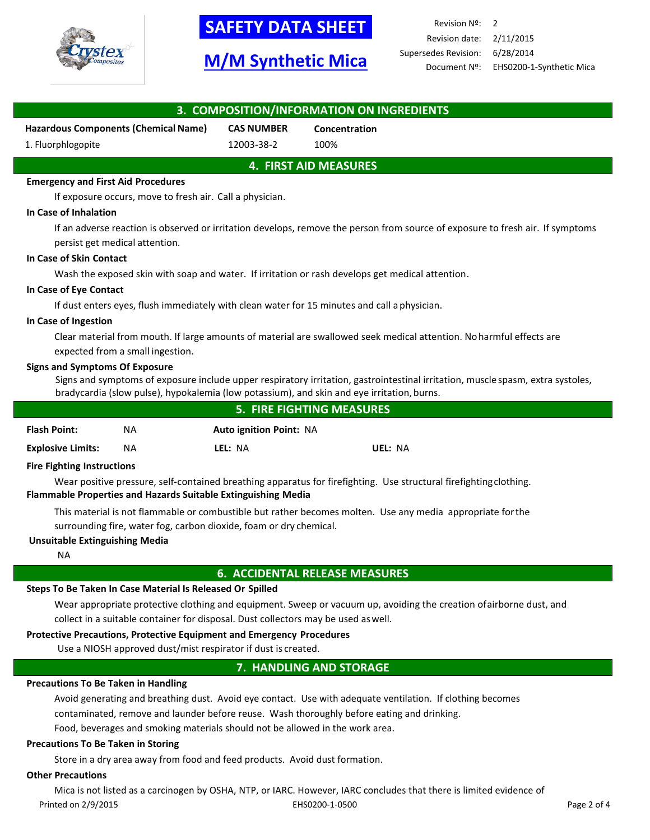

# **-SAFETY DATA SHEET-**

# **M/M Synthetic Mica**

Revision Nº: 2 Revision date: 2/11/2015 Supersedes Revision: 6/28/2014 Document Nº: EHS0200-1-Synthetic Mica

| 3. COMPOSITION/INFORMATION ON INGREDIENTS                                                                                                                                           |                                                                                                                    |                                |                                                                                                                                                                                                                               |  |  |  |
|-------------------------------------------------------------------------------------------------------------------------------------------------------------------------------------|--------------------------------------------------------------------------------------------------------------------|--------------------------------|-------------------------------------------------------------------------------------------------------------------------------------------------------------------------------------------------------------------------------|--|--|--|
|                                                                                                                                                                                     | <b>Hazardous Components (Chemical Name)</b>                                                                        | <b>CAS NUMBER</b>              | Concentration                                                                                                                                                                                                                 |  |  |  |
| 1. Fluorphlogopite                                                                                                                                                                  |                                                                                                                    | 12003-38-2                     | 100%                                                                                                                                                                                                                          |  |  |  |
|                                                                                                                                                                                     |                                                                                                                    |                                | <b>4. FIRST AID MEASURES</b>                                                                                                                                                                                                  |  |  |  |
| <b>Emergency and First Aid Procedures</b>                                                                                                                                           |                                                                                                                    |                                |                                                                                                                                                                                                                               |  |  |  |
|                                                                                                                                                                                     | If exposure occurs, move to fresh air. Call a physician.                                                           |                                |                                                                                                                                                                                                                               |  |  |  |
| In Case of Inhalation                                                                                                                                                               |                                                                                                                    |                                |                                                                                                                                                                                                                               |  |  |  |
|                                                                                                                                                                                     | persist get medical attention.                                                                                     |                                | If an adverse reaction is observed or irritation develops, remove the person from source of exposure to fresh air. If symptoms                                                                                                |  |  |  |
| In Case of Skin Contact                                                                                                                                                             |                                                                                                                    |                                |                                                                                                                                                                                                                               |  |  |  |
|                                                                                                                                                                                     |                                                                                                                    |                                | Wash the exposed skin with soap and water. If irritation or rash develops get medical attention.                                                                                                                              |  |  |  |
| In Case of Eye Contact                                                                                                                                                              |                                                                                                                    |                                |                                                                                                                                                                                                                               |  |  |  |
|                                                                                                                                                                                     |                                                                                                                    |                                | If dust enters eyes, flush immediately with clean water for 15 minutes and call a physician.                                                                                                                                  |  |  |  |
| In Case of Ingestion                                                                                                                                                                |                                                                                                                    |                                |                                                                                                                                                                                                                               |  |  |  |
|                                                                                                                                                                                     | expected from a small ingestion.                                                                                   |                                | Clear material from mouth. If large amounts of material are swallowed seek medical attention. No harmful effects are                                                                                                          |  |  |  |
| <b>Signs and Symptoms Of Exposure</b>                                                                                                                                               |                                                                                                                    |                                | Signs and symptoms of exposure include upper respiratory irritation, gastrointestinal irritation, muscle spasm, extra systoles,<br>bradycardia (slow pulse), hypokalemia (low potassium), and skin and eye irritation, burns. |  |  |  |
|                                                                                                                                                                                     |                                                                                                                    |                                | <b>5. FIRE FIGHTING MEASURES</b>                                                                                                                                                                                              |  |  |  |
| <b>Flash Point:</b>                                                                                                                                                                 | <b>NA</b>                                                                                                          | <b>Auto ignition Point: NA</b> |                                                                                                                                                                                                                               |  |  |  |
| <b>Explosive Limits:</b>                                                                                                                                                            | ΝA                                                                                                                 | LEL: NA                        | UEL: NA                                                                                                                                                                                                                       |  |  |  |
| <b>Fire Fighting Instructions</b>                                                                                                                                                   |                                                                                                                    |                                |                                                                                                                                                                                                                               |  |  |  |
| Wear positive pressure, self-contained breathing apparatus for firefighting. Use structural firefighting clothing.<br>Flammable Properties and Hazards Suitable Extinguishing Media |                                                                                                                    |                                |                                                                                                                                                                                                                               |  |  |  |
| This material is not flammable or combustible but rather becomes molten. Use any media appropriate for the<br>surrounding fire, water fog, carbon dioxide, foam or dry chemical.    |                                                                                                                    |                                |                                                                                                                                                                                                                               |  |  |  |
| <b>Unsuitable Extinguishing Media</b>                                                                                                                                               |                                                                                                                    |                                |                                                                                                                                                                                                                               |  |  |  |
| <b>NA</b>                                                                                                                                                                           |                                                                                                                    |                                |                                                                                                                                                                                                                               |  |  |  |
| <b>6. ACCIDENTAL RELEASE MEASURES</b>                                                                                                                                               |                                                                                                                    |                                |                                                                                                                                                                                                                               |  |  |  |
|                                                                                                                                                                                     | Steps To Be Taken In Case Material Is Released Or Spilled                                                          |                                |                                                                                                                                                                                                                               |  |  |  |
|                                                                                                                                                                                     | Wear appropriate protective clothing and equipment. Sweep or vacuum up, avoiding the creation ofairborne dust, and |                                |                                                                                                                                                                                                                               |  |  |  |

collect in a suitable container for disposal. Dust collectors may be used aswell.

### **Protective Precautions, Protective Equipment and Emergency Procedures**

Use a NIOSH approved dust/mist respirator if dust is created.

### **7. HANDLING AND STORAGE**

### **Precautions To Be Taken in Handling**

Avoid generating and breathing dust. Avoid eye contact. Use with adequate ventilation. If clothing becomes contaminated, remove and launder before reuse. Wash thoroughly before eating and drinking.

Food, beverages and smoking materials should not be allowed in the work area.

### **Precautions To Be Taken in Storing**

Store in a dry area away from food and feed products. Avoid dust formation.

### **Other Precautions**

Printed on 2/9/2015 EHS0200-1-0500 Page 2 of 4 Mica is not listed as a carcinogen by OSHA, NTP, or IARC. However, IARC concludes that there is limited evidence of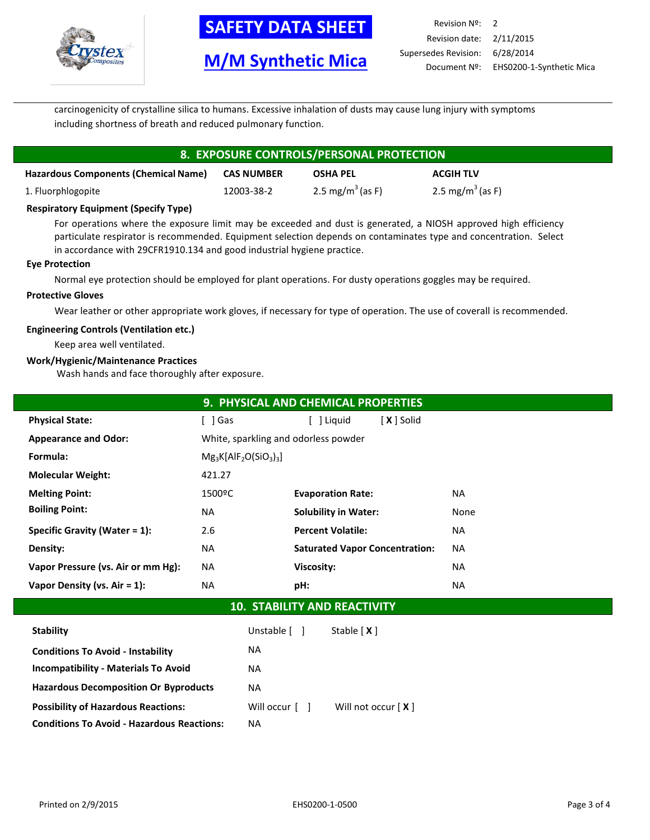

# **SAFETY DATA SHEET**

## **M/M Synthetic Mica**

| Revision $N^{\circ}$ : 2 |                                       |
|--------------------------|---------------------------------------|
| Revision date: 2/11/2015 |                                       |
| Supersedes Revision:     | 6/28/2014                             |
|                          | Document Nº: EHS0200-1-Synthetic Mica |

carcinogenicity of crystalline silica to humans. Excessive inhalation of dusts may cause lung injury with symptoms including shortness of breath and reduced pulmonary function.

# **8. EXPOSURE CONTROLS/PERSONAL PROTECTION**

| <b>Hazardous Components (Chemical Name)</b> | <b>CAS NUMBER</b> | <b>OSHA PEL</b>              | <b>ACGIH TLV</b>             |
|---------------------------------------------|-------------------|------------------------------|------------------------------|
| 1. Fluorphlogopite                          | 12003-38-2        | 2.5 mg/m <sup>3</sup> (as F) | 2.5 mg/m <sup>3</sup> (as F) |

### **Respiratory Equipment (Specify Type)**

For operations where the exposure limit may be exceeded and dust is generated, a NIOSH approved high efficiency particulate respirator is recommended. Equipment selection depends on contaminates type and concentration. Select in accordance with 29CFR1910.134 and good industrial hygiene practice.

### **Eye Protection**

Normal eye protection should be employed for plant operations. For dusty operations goggles may be required.

### **Protective Gloves**

Wear leather or other appropriate work gloves, if necessary for type of operation. The use of coverall is recommended.

### **Engineering Controls (Ventilation etc.)**

Keep area well ventilated.

### **Work/Hygienic/Maintenance Practices**

Wash hands and face thoroughly after exposure.

|                                    |                          | 9. PHYSICAL AND CHEMICAL PROPERTIES   |            |           |  |
|------------------------------------|--------------------------|---------------------------------------|------------|-----------|--|
| <b>Physical State:</b>             | l Gas                    | [ ] Liguid                            | [X ] Solid |           |  |
| <b>Appearance and Odor:</b>        |                          | White, sparkling and odorless powder  |            |           |  |
| Formula:                           | $Mg_3K[AlF_2O(SiO_3)_3]$ |                                       |            |           |  |
| <b>Molecular Weight:</b>           | 421.27                   |                                       |            |           |  |
| <b>Melting Point:</b>              | 1500°C                   | <b>Evaporation Rate:</b>              |            | NA        |  |
| <b>Boiling Point:</b>              | NA                       | <b>Solubility in Water:</b>           |            | None      |  |
| Specific Gravity (Water = $1$ ):   | 2.6                      | <b>Percent Volatile:</b>              |            | NA        |  |
| Density:                           | ΝA                       | <b>Saturated Vapor Concentration:</b> |            | <b>NA</b> |  |
| Vapor Pressure (vs. Air or mm Hg): | ΝA                       | <b>Viscosity:</b>                     |            | <b>NA</b> |  |
| Vapor Density (vs. $Air = 1$ ):    | NA                       | pH:                                   |            | <b>NA</b> |  |
|                                    |                          |                                       |            |           |  |

## **10. STABILITY AND REACTIVITY**

| <b>Stability</b>                                  | Unstable [ ]   | Stable $[X]$         |
|---------------------------------------------------|----------------|----------------------|
| <b>Conditions To Avoid - Instability</b>          | NA.            |                      |
| <b>Incompatibility - Materials To Avoid</b>       | NA.            |                      |
| <b>Hazardous Decomposition Or Byproducts</b>      | <b>NA</b>      |                      |
| <b>Possibility of Hazardous Reactions:</b>        | Will occur [ ] | Will not occur $[X]$ |
| <b>Conditions To Avoid - Hazardous Reactions:</b> | NA.            |                      |